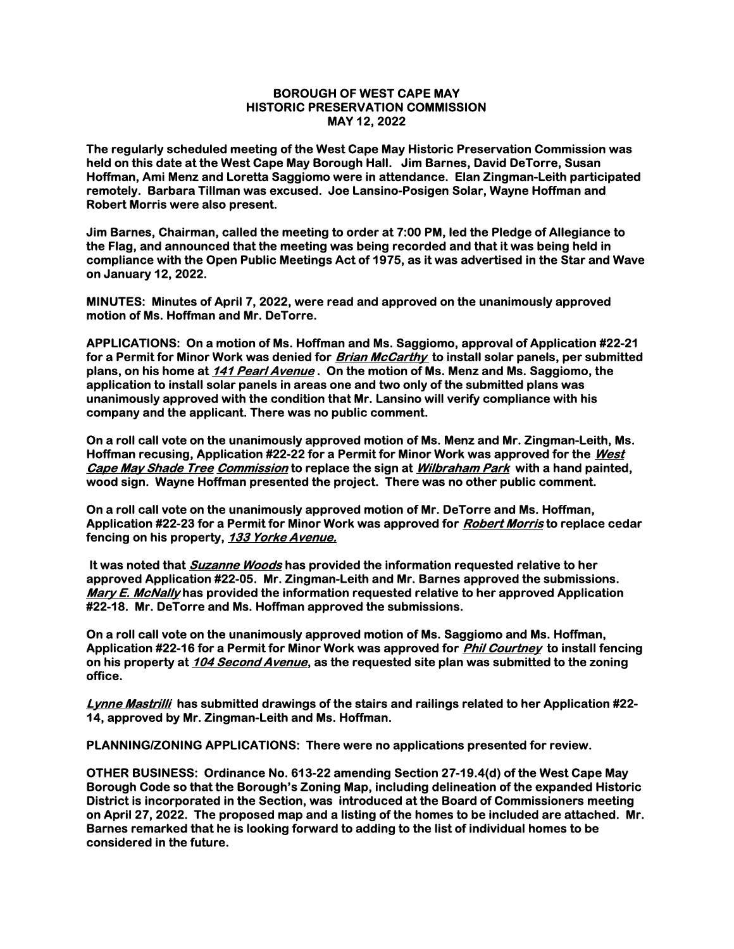## BOROUGH OF WEST CAPE MAY HISTORIC PRESERVATION COMMISSION MAY 12, 2022

The regularly scheduled meeting of the West Cape May Historic Preservation Commission was held on this date at the West Cape May Borough Hall. Jim Barnes, David DeTorre, Susan Hoffman, Ami Menz and Loretta Saggiomo were in attendance. Elan Zingman-Leith participated remotely. Barbara Tillman was excused. Joe Lansino-Posigen Solar, Wayne Hoffman and Robert Morris were also present.

Jim Barnes, Chairman, called the meeting to order at 7:00 PM, led the Pledge of Allegiance to the Flag, and announced that the meeting was being recorded and that it was being held in compliance with the Open Public Meetings Act of 1975, as it was advertised in the Star and Wave on January 12, 2022.

MINUTES: Minutes of April 7, 2022, were read and approved on the unanimously approved motion of Ms. Hoffman and Mr. DeTorre.

APPLICATIONS: On a motion of Ms. Hoffman and Ms. Saggiomo, approval of Application #22-21 for a Permit for Minor Work was denied for *Brian McCarthy* to install solar panels, per submitted plans, on his home at 141 Pearl Avenue. On the motion of Ms. Menz and Ms. Saggiomo, the application to install solar panels in areas one and two only of the submitted plans was unanimously approved with the condition that Mr. Lansino will verify compliance with his company and the applicant. There was no public comment.

On a roll call vote on the unanimously approved motion of Ms. Menz and Mr. Zingman-Leith, Ms. Hoffman recusing, Application #22-22 for a Permit for Minor Work was approved for the West Cape May Shade Tree Commission to replace the sign at *Wilbraham Park* with a hand painted, wood sign. Wayne Hoffman presented the project. There was no other public comment.

On a roll call vote on the unanimously approved motion of Mr. DeTorre and Ms. Hoffman, Application #22-23 for a Permit for Minor Work was approved for *Robert Morris* to replace cedar fencing on his property, 133 Yorke Avenue.

It was noted that **Suzanne Woods** has provided the information requested relative to her approved Application #22-05. Mr. Zingman-Leith and Mr. Barnes approved the submissions. Mary E. McNally has provided the information requested relative to her approved Application #22-18. Mr. DeTorre and Ms. Hoffman approved the submissions.

On a roll call vote on the unanimously approved motion of Ms. Saggiomo and Ms. Hoffman, Application #22-16 for a Permit for Minor Work was approved for *Phil Courtney* to install fencing on his property at 104 Second Avenue, as the requested site plan was submitted to the zoning office.

Lynne Mastrilli has submitted drawings of the stairs and railings related to her Application #22-14, approved by Mr. Zingman-Leith and Ms. Hoffman.

PLANNING/ZONING APPLICATIONS: There were no applications presented for review.

OTHER BUSINESS: Ordinance No. 613-22 amending Section 27-19.4(d) of the West Cape May Borough Code so that the Borough's Zoning Map, including delineation of the expanded Historic District is incorporated in the Section, was introduced at the Board of Commissioners meeting on April 27, 2022. The proposed map and a listing of the homes to be included are attached. Mr. Barnes remarked that he is looking forward to adding to the list of individual homes to be considered in the future.